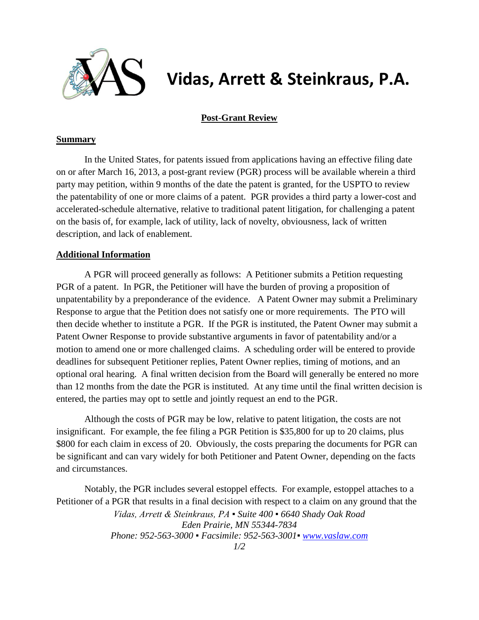

## **Vidas, Arrett & Steinkraus, P.A.**

## **Post-Grant Review**

## **Summary**

In the United States, for patents issued from applications having an effective filing date on or after March 16, 2013, a post-grant review (PGR) process will be available wherein a third party may petition, within 9 months of the date the patent is granted, for the USPTO to review the patentability of one or more claims of a patent. PGR provides a third party a lower-cost and accelerated-schedule alternative, relative to traditional patent litigation, for challenging a patent on the basis of, for example, lack of utility, lack of novelty, obviousness, lack of written description, and lack of enablement.

## **Additional Information**

A PGR will proceed generally as follows: A Petitioner submits a Petition requesting PGR of a patent. In PGR, the Petitioner will have the burden of proving a proposition of unpatentability by a preponderance of the evidence. A Patent Owner may submit a Preliminary Response to argue that the Petition does not satisfy one or more requirements. The PTO will then decide whether to institute a PGR. If the PGR is instituted, the Patent Owner may submit a Patent Owner Response to provide substantive arguments in favor of patentability and/or a motion to amend one or more challenged claims. A scheduling order will be entered to provide deadlines for subsequent Petitioner replies, Patent Owner replies, timing of motions, and an optional oral hearing. A final written decision from the Board will generally be entered no more than 12 months from the date the PGR is instituted. At any time until the final written decision is entered, the parties may opt to settle and jointly request an end to the PGR.

Although the costs of PGR may be low, relative to patent litigation, the costs are not insignificant. For example, the fee filing a PGR Petition is \$35,800 for up to 20 claims, plus \$800 for each claim in excess of 20. Obviously, the costs preparing the documents for PGR can be significant and can vary widely for both Petitioner and Patent Owner, depending on the facts and circumstances.

Notably, the PGR includes several estoppel effects. For example, estoppel attaches to a Petitioner of a PGR that results in a final decision with respect to a claim on any ground that the

> *Vidas, Arrett & Steinkraus, PA ▪ Suite 400 ▪ 6640 Shady Oak Road Eden Prairie, MN 55344-7834 Phone: 952-563-3000 ▪ Facsimile: 952-563-3001▪ [www.vaslaw.com](http://www.vaslaw.com/)*